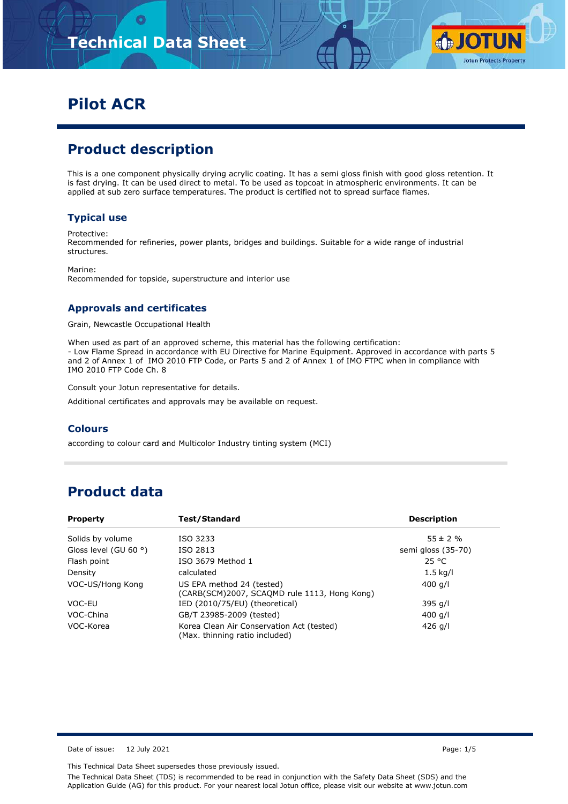

# **Pilot ACR**

## **Product description**

This is a one component physically drying acrylic coating. It has a semi gloss finish with good gloss retention. It is fast drying. It can be used direct to metal. To be used as topcoat in atmospheric environments. It can be applied at sub zero surface temperatures. The product is certified not to spread surface flames.

#### **Typical use**

Protective:

Recommended for refineries, power plants, bridges and buildings. Suitable for a wide range of industrial structures.

Marine: Recommended for topside, superstructure and interior use

#### **Approvals and certificates**

Grain, Newcastle Occupational Health

When used as part of an approved scheme, this material has the following certification: - Low Flame Spread in accordance with EU Directive for Marine Equipment. Approved in accordance with parts 5 and 2 of Annex 1 of IMO 2010 FTP Code, or Parts 5 and 2 of Annex 1 of IMO FTPC when in compliance with IMO 2010 FTP Code Ch. 8

Consult your Jotun representative for details.

Additional certificates and approvals may be available on request.

#### **Colours**

according to colour card and Multicolor Industry tinting system (MCI)

# **Product data**

| <b>Property</b>                | Test/Standard                                                               | <b>Description</b> |
|--------------------------------|-----------------------------------------------------------------------------|--------------------|
| Solids by volume               | ISO 3233                                                                    | $55 \pm 2 \%$      |
| Gloss level (GU 60 $\degree$ ) | ISO 2813                                                                    | semi gloss (35-70) |
| Flash point                    | ISO 3679 Method 1                                                           | 25 °C              |
| Density                        | calculated                                                                  | $1.5$ kg/l         |
| VOC-US/Hong Kong               | US EPA method 24 (tested)<br>(CARB(SCM)2007, SCAQMD rule 1113, Hong Kong)   | 400 g/l            |
| VOC-EU                         | IED (2010/75/EU) (theoretical)                                              | $395$ g/l          |
| VOC-China                      | GB/T 23985-2009 (tested)                                                    | 400 g/l            |
| VOC-Korea                      | Korea Clean Air Conservation Act (tested)<br>(Max. thinning ratio included) | 426 $q/l$          |

Date of issue: 12 July 2021 2021 2021 20:30 Page: 1/5

This Technical Data Sheet supersedes those previously issued.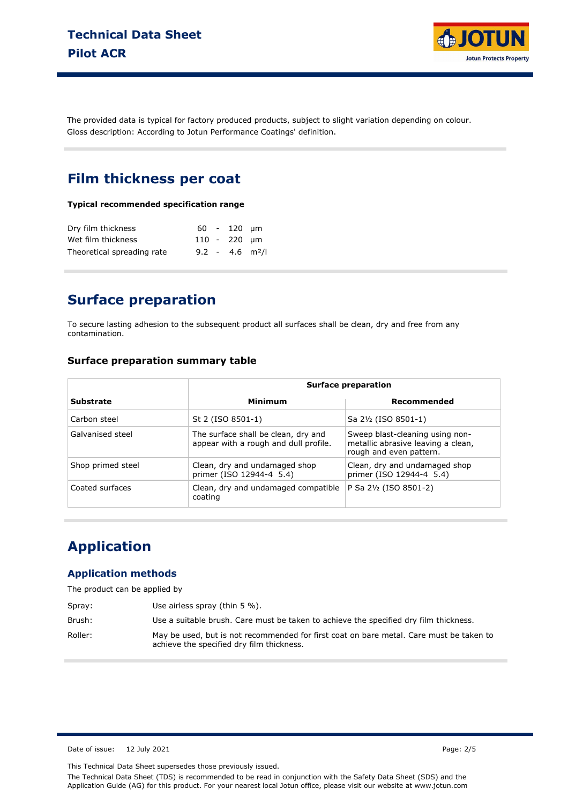

The provided data is typical for factory produced products, subject to slight variation depending on colour. Gloss description: According to Jotun Performance Coatings' definition.

### **Film thickness per coat**

#### **Typical recommended specification range**

| Dry film thickness         |  | $60 - 120$ um                 |  |
|----------------------------|--|-------------------------------|--|
| Wet film thickness         |  | 110 - 220 um                  |  |
| Theoretical spreading rate |  | $9.2 - 4.6$ m <sup>2</sup> /l |  |

## **Surface preparation**

To secure lasting adhesion to the subsequent product all surfaces shall be clean, dry and free from any contamination.

#### **Surface preparation summary table**

|                   | <b>Surface preparation</b>                                                   |                                                                                                  |  |
|-------------------|------------------------------------------------------------------------------|--------------------------------------------------------------------------------------------------|--|
| Substrate         | Minimum                                                                      | Recommended                                                                                      |  |
| Carbon steel      | St 2 (ISO 8501-1)                                                            | Sa 2½ (ISO 8501-1)                                                                               |  |
| Galvanised steel  | The surface shall be clean, dry and<br>appear with a rough and dull profile. | Sweep blast-cleaning using non-<br>metallic abrasive leaving a clean,<br>rough and even pattern. |  |
| Shop primed steel | Clean, dry and undamaged shop<br>primer (ISO 12944-4 5.4)                    | Clean, dry and undamaged shop<br>primer (ISO 12944-4 5.4)                                        |  |
| Coated surfaces   | Clean, dry and undamaged compatible<br>coating                               | P Sa 21/2 (ISO 8501-2)                                                                           |  |

## **Application**

#### **Application methods**

The product can be applied by

| Spray:  | Use airless spray (thin $5\%$ ).                                                                                                     |
|---------|--------------------------------------------------------------------------------------------------------------------------------------|
| Brush:  | Use a suitable brush. Care must be taken to achieve the specified dry film thickness.                                                |
| Roller: | May be used, but is not recommended for first coat on bare metal. Care must be taken to<br>achieve the specified dry film thickness. |

Date of issue: 12 July 2021 Page: 2/5

This Technical Data Sheet supersedes those previously issued.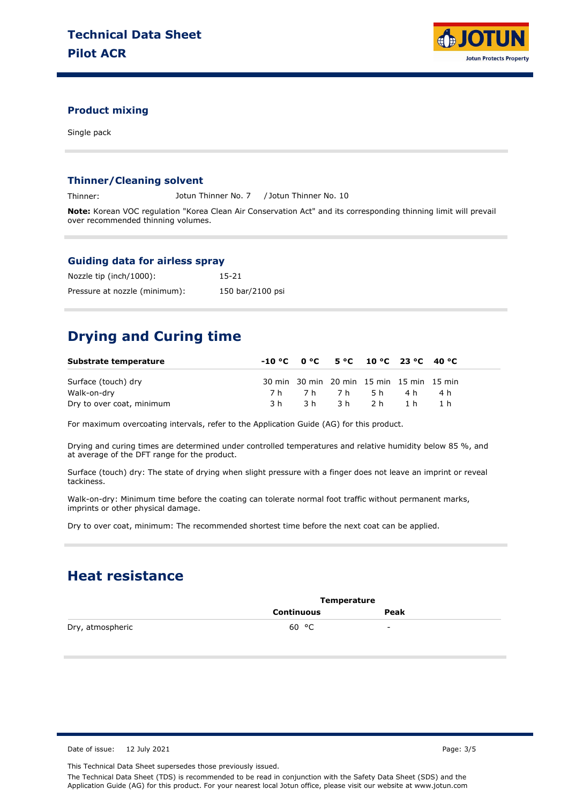

#### **Product mixing**

Single pack

#### **Thinner/Cleaning solvent**

Thinner: Jotun Thinner No. 7 / Jotun Thinner No. 10

**Note:** Korean VOC regulation "Korea Clean Air Conservation Act" and its corresponding thinning limit will prevail over recommended thinning volumes.

#### **Guiding data for airless spray**

| Nozzle tip (inch/1000):       | 15-21            |
|-------------------------------|------------------|
| Pressure at nozzle (minimum): | 150 bar/2100 psi |

# **Drying and Curing time**

| Substrate temperature     |     | $-10\degree$ C $0\degree$ C $5\degree$ C $10\degree$ C $23\degree$ C $40\degree$ C |  |  |
|---------------------------|-----|------------------------------------------------------------------------------------|--|--|
| Surface (touch) dry       |     | 30 min 30 min 20 min 15 min 15 min 15 min                                          |  |  |
| Walk-on-dry               |     | 7h 7h 7h 5h 4h 4h                                                                  |  |  |
| Dry to over coat, minimum | 3 h | 3h 3h 2h 1h                                                                        |  |  |

For maximum overcoating intervals, refer to the Application Guide (AG) for this product.

Drying and curing times are determined under controlled temperatures and relative humidity below 85 %, and at average of the DFT range for the product.

Surface (touch) dry: The state of drying when slight pressure with a finger does not leave an imprint or reveal tackiness.

Walk-on-dry: Minimum time before the coating can tolerate normal foot traffic without permanent marks, imprints or other physical damage.

Dry to over coat, minimum: The recommended shortest time before the next coat can be applied.

### **Heat resistance**

|                  | Temperature |      |  |
|------------------|-------------|------|--|
|                  | Continuous  | Peak |  |
| Dry, atmospheric | 60 °C       | -    |  |

Date of issue: 12 July 2021 2021 2012 12:30 20:30 20:30 20:30 20:30 20:30 20:30 20:30 20:30 20:30 20:30 20:30 20:30 20:30 20:30 20:30 20:30 20:30 20:30 20:30 20:30 20:30 20:30 20:30 20:30 20:30 20:30 20:30 20:30 20:30 20:3

This Technical Data Sheet supersedes those previously issued.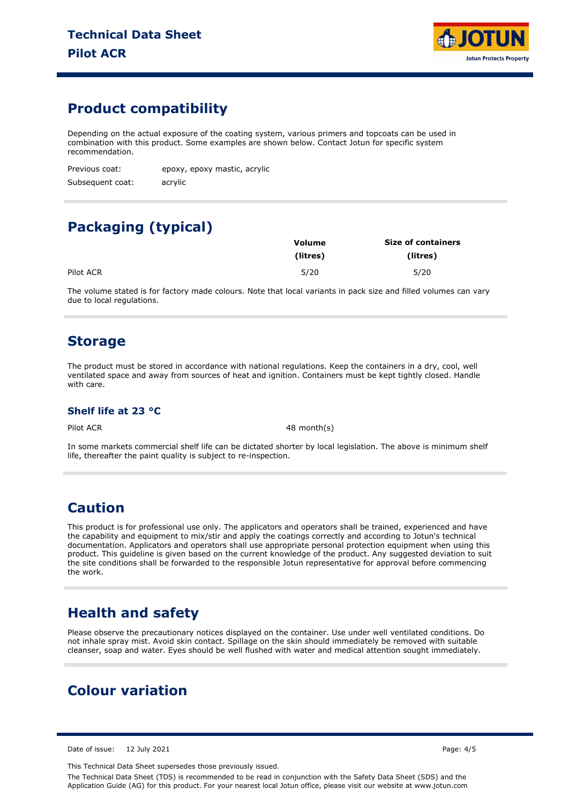

## **Product compatibility**

Depending on the actual exposure of the coating system, various primers and topcoats can be used in combination with this product. Some examples are shown below. Contact Jotun for specific system recommendation.

| Previous coat:   | epoxy, epoxy mastic, acrylic |
|------------------|------------------------------|
| Subsequent coat: | acrylic                      |

# **Packaging (typical)**

|           | <b>Volume</b> | <b>Size of containers</b> |  |  |
|-----------|---------------|---------------------------|--|--|
|           | (litres)      | (litres)                  |  |  |
| Pilot ACR | 5/20          | 5/20                      |  |  |

The volume stated is for factory made colours. Note that local variants in pack size and filled volumes can vary due to local regulations.

### **Storage**

The product must be stored in accordance with national regulations. Keep the containers in a dry, cool, well ventilated space and away from sources of heat and ignition. Containers must be kept tightly closed. Handle with care.

#### **Shelf life at 23 °C**

Pilot ACR 48 month(s)

In some markets commercial shelf life can be dictated shorter by local legislation. The above is minimum shelf life, thereafter the paint quality is subject to re-inspection.

## **Caution**

This product is for professional use only. The applicators and operators shall be trained, experienced and have the capability and equipment to mix/stir and apply the coatings correctly and according to Jotun's technical documentation. Applicators and operators shall use appropriate personal protection equipment when using this product. This guideline is given based on the current knowledge of the product. Any suggested deviation to suit the site conditions shall be forwarded to the responsible Jotun representative for approval before commencing the work.

## **Health and safety**

Please observe the precautionary notices displayed on the container. Use under well ventilated conditions. Do not inhale spray mist. Avoid skin contact. Spillage on the skin should immediately be removed with suitable cleanser, soap and water. Eyes should be well flushed with water and medical attention sought immediately.

# **Colour variation**

Date of issue: 12 July 2021 2021 2021 20:30 Page: 4/5

This Technical Data Sheet supersedes those previously issued.